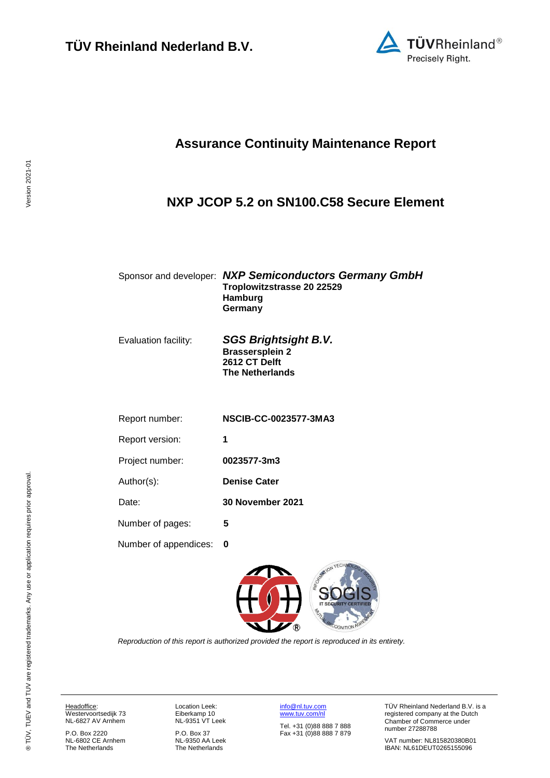

## **Assurance Continuity Maintenance Report**

#### <span id="page-0-2"></span><span id="page-0-1"></span>**NXP JCOP 5.2 on SN100.C58 Secure Element**

#### Sponsor and developer: *NXP Semiconductors Germany GmbH* **Troplowitzstrasse 20 22529 Hamburg Germany**

Evaluation facility: *SGS Brightsight B.V.* **Brassersplein 2 2612 CT Delft The Netherlands**

| Report number:  | <b>NSCIB-CC-0023577-3MA3</b> |
|-----------------|------------------------------|
| Report version: | 1                            |
| Project number: | 0023577-3m3                  |
| Author(s):      | <b>Denise Cater</b>          |
| Date:           | <b>30 November 2021</b>      |

Number of pages: **5**

Number of appendices: **0**

<span id="page-0-0"></span>

*Reproduction of this report is authorized provided the report is reproduced in its entirety.*

Headoffice: Westervoortsedijk 73 NL-6827 AV Arnhem

P.O. Box 2220 NL-6802 CE Arnhem The Netherlands

Location Leek: Eiberkamp 10 NL-9351 VT Leek

P.O. Box 37 NL-9350 AA Leek The Netherlands

[info@nl.tuv.com](mailto:info@nl.tuv.com) [www.tuv.com/nl](http://www.tuv.com/nl)

Tel. +31 (0)88 888 7 888 Fax +31 (0)88 888 7 879 TÜV Rheinland Nederland B.V. is a registered company at the Dutch Chamber of Commerce under number 27288788

VAT number: NL815820380B01 IBAN: NL61DEUT0265155096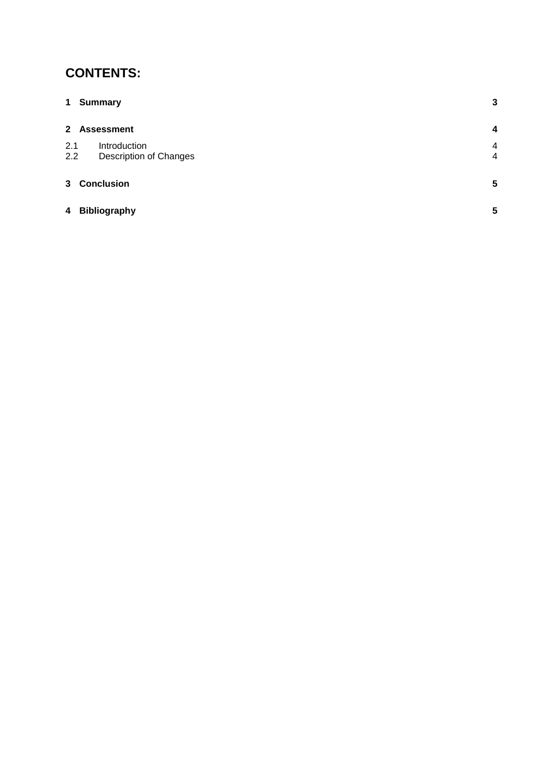# **CONTENTS:**

| $\mathbf 1$    | <b>Summary</b>                                | 3      |
|----------------|-----------------------------------------------|--------|
|                | 2 Assessment                                  | 4      |
| 2.1<br>2.2     | Introduction<br><b>Description of Changes</b> | 4<br>4 |
| 3 <sup>1</sup> | <b>Conclusion</b>                             | 5      |
| $\overline{4}$ | <b>Bibliography</b>                           | 5      |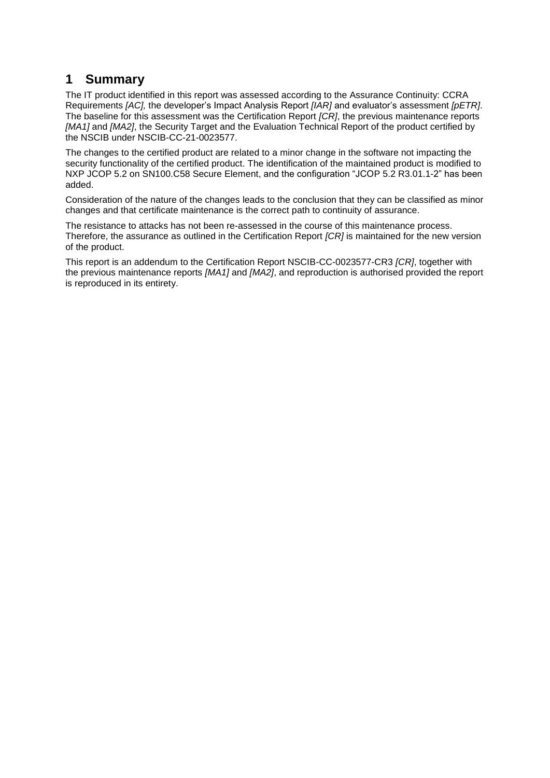## **1 Summary**

The IT product identified in this report was assessed according to the Assurance Continuity: CCRA Requirements *[AC],* the developer's Impact Analysis Report *[IAR]* and evaluator's assessment *[pETR]*. The baseline for this assessment was the Certification Report *[CR]*, the previous maintenance reports *[MA1]* and *[MA2]*, the Security Target and the Evaluation Technical Report of the product certified by the NSCIB under NSCIB-CC-21[-0023577.](#page-0-0)

The changes to the certified product are related to a minor change in the software not impacting the security functionality of the certified product. The identification of the maintained product is modified to [NXP JCOP 5.2 on SN100.C58 Secure Element,](#page-0-1) and the configuration "JCOP 5.2 R3.01.1-2" has been added.

Consideration of the nature of the changes leads to the conclusion that they can be classified as minor changes and that certificate maintenance is the correct path to continuity of assurance.

The resistance to attacks has not been re-assessed in the course of this maintenance process. Therefore, the assurance as outlined in the Certification Report *[CR]* is maintained for the new version of the product.

This report is an addendum to the Certification Report NSCIB-CC[-0023577-](#page-0-0)CR3 *[CR]*, together with the previous maintenance reports *[MA1]* and *[MA2]*, and reproduction is authorised provided the report is reproduced in its entirety.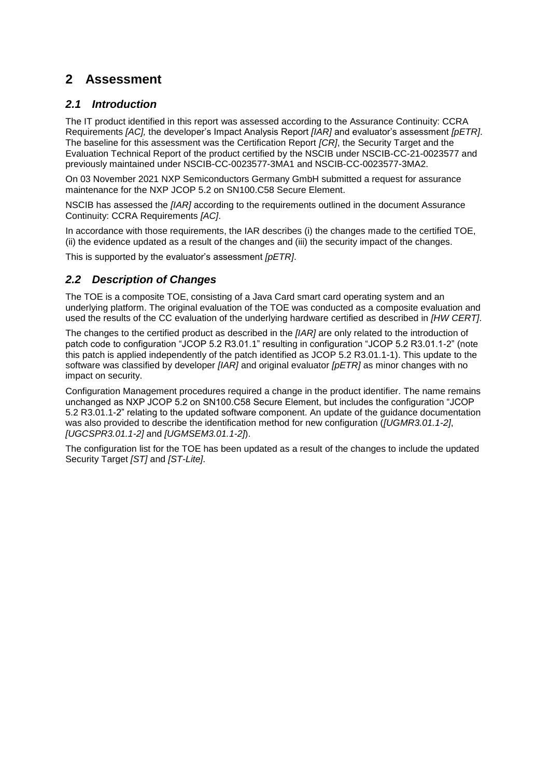## **2 Assessment**

#### *2.1 Introduction*

The IT product identified in this report was assessed according to the Assurance Continuity: CCRA Requirements *[AC],* the developer's Impact Analysis Report *[IAR]* and evaluator's assessment *[pETR]*. The baseline for this assessment was the Certification Report *[CR]*, the Security Target and the Evaluation Technical Report of the product certified by the NSCIB under NSCIB-CC-21[-0023577](#page-0-0) and previously maintained under NSCIB-CC-0023577-3MA1 and NSCIB-CC-0023577-3MA2.

On 03 November 2021 [NXP Semiconductors Germany GmbH](#page-0-2) submitted a request for assurance maintenance for the [NXP JCOP 5.2 on SN100.C58 Secure Element.](#page-0-1)

NSCIB has assessed the *[IAR]* according to the requirements outlined in the document Assurance Continuity: CCRA Requirements *[AC]*.

In accordance with those requirements, the IAR describes (i) the changes made to the certified TOE, (ii) the evidence updated as a result of the changes and (iii) the security impact of the changes.

This is supported by the evaluator's assessment *[pETR]*.

#### *2.2 Description of Changes*

The TOE is a composite TOE, consisting of a Java Card smart card operating system and an underlying platform. The original evaluation of the TOE was conducted as a composite evaluation and used the results of the CC evaluation of the underlying hardware certified as described in *[HW CERT]*.

The changes to the certified product as described in the *[IAR]* are only related to the introduction of patch code to configuration "JCOP 5.2 R3.01.1" resulting in configuration "JCOP 5.2 R3.01.1-2" (note this patch is applied independently of the patch identified as JCOP 5.2 R3.01.1-1). This update to the software was classified by developer *[IAR]* and original evaluator *[pETR]* as minor changes with no impact on security.

Configuration Management procedures required a change in the product identifier. The name remains unchanged as NXP JCOP 5.2 on SN100.C58 Secure Element, but includes the configuration "JCOP 5.2 R3.01.1-2" relating to the updated software component. An update of the guidance documentation was also provided to describe the identification method for new configuration (*[UGMR3.01.1-2]*, *[UGCSPR3.01.1-2]* and *[UGMSEM3.01.1-2]*).

The configuration list for the TOE has been updated as a result of the changes to include the updated Security Target *[ST]* and *[ST-Lite]*.